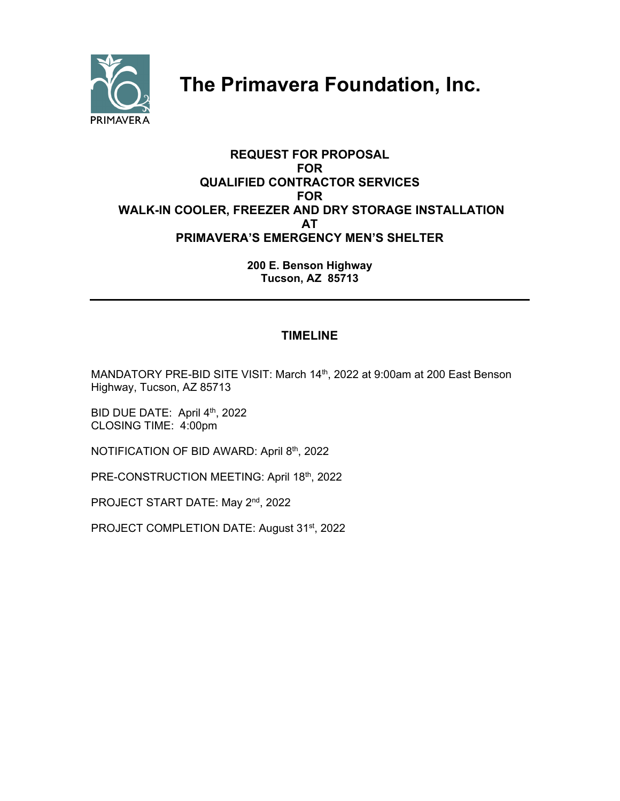

# **The Primavera Foundation, Inc.**

# **REQUEST FOR PROPOSAL FOR QUALIFIED CONTRACTOR SERVICES FOR WALK-IN COOLER, FREEZER AND DRY STORAGE INSTALLATION AT PRIMAVERA'S EMERGENCY MEN'S SHELTER**

**200 E. Benson Highway Tucson, AZ 85713** 

# **TIMELINE**

MANDATORY PRE-BID SITE VISIT: March 14<sup>th</sup>, 2022 at 9:00am at 200 East Benson Highway, Tucson, AZ 85713

BID DUE DATE: April 4th, 2022 CLOSING TIME: 4:00pm

NOTIFICATION OF BID AWARD: April 8th, 2022

PRE-CONSTRUCTION MEETING: April 18th, 2022

PROJECT START DATE: May 2<sup>nd</sup>, 2022

PROJECT COMPLETION DATE: August 31<sup>st</sup>, 2022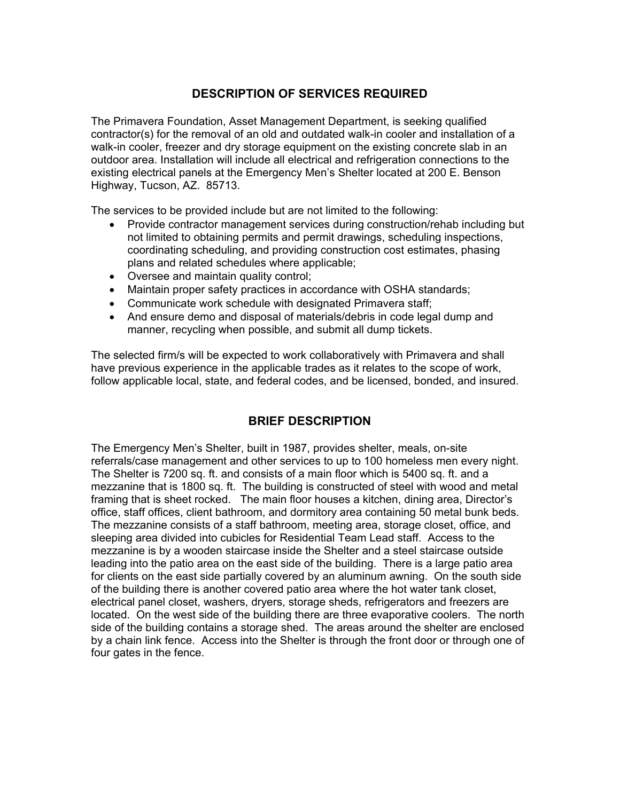# **DESCRIPTION OF SERVICES REQUIRED**

The Primavera Foundation, Asset Management Department, is seeking qualified contractor(s) for the removal of an old and outdated walk-in cooler and installation of a walk-in cooler, freezer and dry storage equipment on the existing concrete slab in an outdoor area. Installation will include all electrical and refrigeration connections to the existing electrical panels at the Emergency Men's Shelter located at 200 E. Benson Highway, Tucson, AZ. 85713.

The services to be provided include but are not limited to the following:

- Provide contractor management services during construction/rehab including but not limited to obtaining permits and permit drawings, scheduling inspections, coordinating scheduling, and providing construction cost estimates, phasing plans and related schedules where applicable;
- Oversee and maintain quality control;
- Maintain proper safety practices in accordance with OSHA standards;
- Communicate work schedule with designated Primavera staff;
- And ensure demo and disposal of materials/debris in code legal dump and manner, recycling when possible, and submit all dump tickets.

The selected firm/s will be expected to work collaboratively with Primavera and shall have previous experience in the applicable trades as it relates to the scope of work, follow applicable local, state, and federal codes, and be licensed, bonded, and insured.

# **BRIEF DESCRIPTION**

The Emergency Men's Shelter, built in 1987, provides shelter, meals, on-site referrals/case management and other services to up to 100 homeless men every night. The Shelter is 7200 sq. ft. and consists of a main floor which is 5400 sq. ft. and a mezzanine that is 1800 sq. ft. The building is constructed of steel with wood and metal framing that is sheet rocked. The main floor houses a kitchen, dining area, Director's office, staff offices, client bathroom, and dormitory area containing 50 metal bunk beds. The mezzanine consists of a staff bathroom, meeting area, storage closet, office, and sleeping area divided into cubicles for Residential Team Lead staff. Access to the mezzanine is by a wooden staircase inside the Shelter and a steel staircase outside leading into the patio area on the east side of the building. There is a large patio area for clients on the east side partially covered by an aluminum awning. On the south side of the building there is another covered patio area where the hot water tank closet, electrical panel closet, washers, dryers, storage sheds, refrigerators and freezers are located. On the west side of the building there are three evaporative coolers. The north side of the building contains a storage shed. The areas around the shelter are enclosed by a chain link fence. Access into the Shelter is through the front door or through one of four gates in the fence.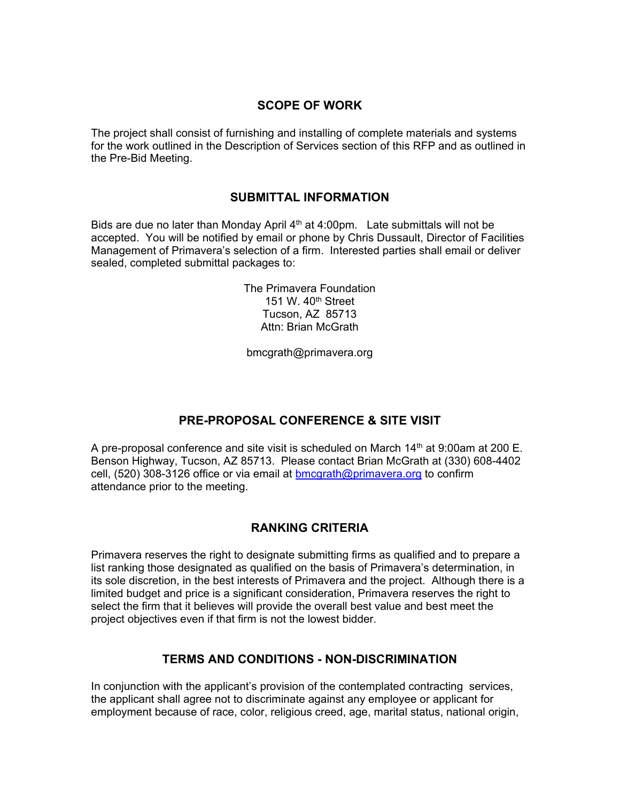### **SCOPE OF WORK**

The project shall consist of furnishing and installing of complete materials and systems for the work outlined in the Description of Services section of this RFP and as outlined in the Pre-Bid Meeting.

#### **SUBMITTAL INFORMATION**

Bids are due no later than Monday April  $4<sup>th</sup>$  at 4:00pm. Late submittals will not be accepted. You will be notified by email or phone by Chris Dussault, Director of Facilities Management of Primavera's selection of a firm. Interested parties shall email or deliver sealed, completed submittal packages to:

> The Primavera Foundation 151 W. 40<sup>th</sup> Street Tucson, AZ 85713 Attn: Brian McGrath

bmcgrath@primavera.org

# **PRE-PROPOSAL CONFERENCE & SITE VISIT**

A pre-proposal conference and site visit is scheduled on March  $14<sup>th</sup>$  at 9:00am at 200 E. Benson Highway, Tucson, AZ 85713. Please contact Brian McGrath at (330) 608-4402 cell, (520) 308-3126 office or via email at bmcgrath@primavera.org to confirm attendance prior to the meeting.

# **RANKING CRITERIA**

Primavera reserves the right to designate submitting firms as qualified and to prepare a list ranking those designated as qualified on the basis of Primavera's determination, in its sole discretion, in the best interests of Primavera and the project. Although there is a limited budget and price is a significant consideration, Primavera reserves the right to select the firm that it believes will provide the overall best value and best meet the project objectives even if that firm is not the lowest bidder.

# **TERMS AND CONDITIONS - NON-DISCRIMINATION**

In conjunction with the applicant's provision of the contemplated contracting services, the applicant shall agree not to discriminate against any employee or applicant for employment because of race, color, religious creed, age, marital status, national origin,